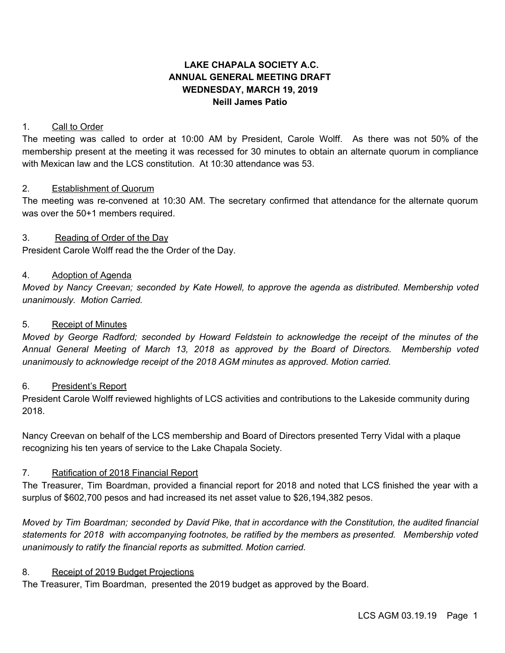# **LAKE CHAPALA SOCIETY A.C. ANNUAL GENERAL MEETING DRAFT WEDNESDAY, MARCH 19, 2019 Neill James Patio**

## 1. Call to Order

The meeting was called to order at 10:00 AM by President, Carole Wolff. As there was not 50% of the membership present at the meeting it was recessed for 30 minutes to obtain an alternate quorum in compliance with Mexican law and the LCS constitution. At 10:30 attendance was 53.

#### 2. Establishment of Quorum

The meeting was re-convened at 10:30 AM. The secretary confirmed that attendance for the alternate quorum was over the 50+1 members required.

#### 3. Reading of Order of the Day

President Carole Wolff read the the Order of the Day.

#### 4. Adoption of Agenda

*Moved by Nancy Creevan; seconded by Kate Howell, to approve the agenda as distributed. Membership voted unanimously. Motion Carried.*

#### 5. Receipt of Minutes

*Moved by George Radford; seconded by Howard Feldstein to acknowledge the receipt of the minutes of the Annual General Meeting of March 13, 2018 as approved by the Board of Directors. Membership voted unanimously to acknowledge receipt of the 2018 AGM minutes as approved. Motion carried.*

#### 6. President's Report

President Carole Wolff reviewed highlights of LCS activities and contributions to the Lakeside community during 2018.

Nancy Creevan on behalf of the LCS membership and Board of Directors presented Terry Vidal with a plaque recognizing his ten years of service to the Lake Chapala Society.

## 7. Ratification of 2018 Financial Report

The Treasurer, Tim Boardman, provided a financial report for 2018 and noted that LCS finished the year with a surplus of \$602,700 pesos and had increased its net asset value to \$26,194,382 pesos.

Moved by Tim Boardman; seconded by David Pike, that in accordance with the Constitution, the audited financial *statements for 2018 with accompanying footnotes, be ratified by the members as presented. Membership voted unanimously to ratify the financial reports as submitted. Motion carried.*

## 8. Receipt of 2019 Budget Projections

The Treasurer, Tim Boardman, presented the 2019 budget as approved by the Board.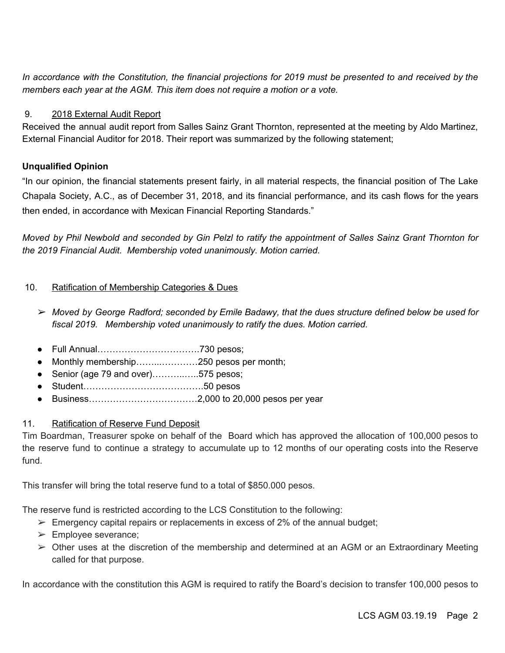In accordance with the Constitution, the financial projections for 2019 must be presented to and received by the *members each year at the AGM. This item does not require a motion or a vote.*

## 9. 2018 External Audit Report

Received the annual audit report from Salles Sainz Grant Thornton, represented at the meeting by Aldo Martinez, External Financial Auditor for 2018. Their report was summarized by the following statement;

## **Unqualified Opinion**

"In our opinion, the financial statements present fairly, in all material respects, the financial position of The Lake Chapala Society, A.C., as of December 31, 2018, and its financial performance, and its cash flows for the years then ended, in accordance with Mexican Financial Reporting Standards."

Moved by Phil Newbold and seconded by Gin Pelzl to ratify the appointment of Salles Sainz Grant Thornton for *the 2019 Financial Audit. Membership voted unanimously. Motion carried.*

## 10. Ratification of Membership Categories & Dues

- ➢ *Moved by George Radford; seconded by Emile Badawy, that the dues structure defined below be used for fiscal 2019. Membership voted unanimously to ratify the dues. Motion carried.*
- Full Annual…………………………….730 pesos;
- Monthly membership……...…………250 pesos per month;
- Senior (age 79 and over)……………575 pesos;
- Student………………………………….50 pesos
- Business………………………………2,000 to 20,000 pesos per year

## 11. Ratification of Reserve Fund Deposit

Tim Boardman, Treasurer spoke on behalf of the Board which has approved the allocation of 100,000 pesos to the reserve fund to continue a strategy to accumulate up to 12 months of our operating costs into the Reserve fund.

This transfer will bring the total reserve fund to a total of \$850.000 pesos.

The reserve fund is restricted according to the LCS Constitution to the following:

- $\triangleright$  Emergency capital repairs or replacements in excess of 2% of the annual budget;
- ➢ Employee severance;
- $\triangleright$  Other uses at the discretion of the membership and determined at an AGM or an Extraordinary Meeting called for that purpose.

In accordance with the constitution this AGM is required to ratify the Board's decision to transfer 100,000 pesos to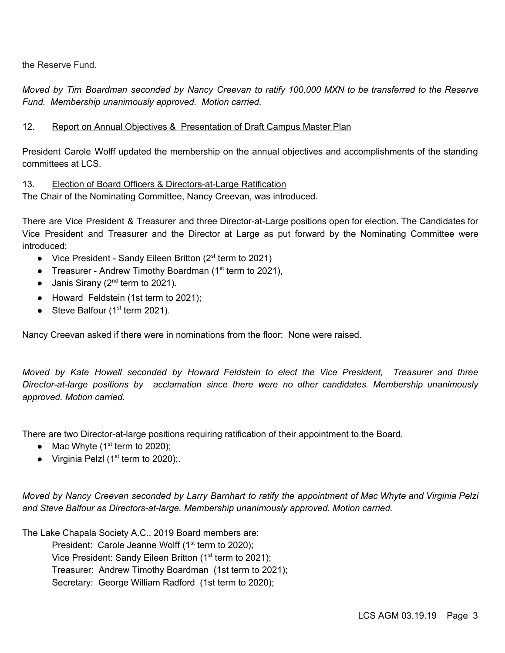the Reserve Fund.

Moved by Tim Boardman seconded by Nancy Creevan to ratify 100,000 MXN to be transferred to the Reserve *Fund. Membership unanimously approved. Motion carried.*

## 12. Report on Annual Objectives & Presentation of Draft Campus Master Plan

President Carole Wolff updated the membership on the annual objectives and accomplishments of the standing committees at LCS.

## 13. Election of Board Officers & Directors-at-Large Ratification

The Chair of the Nominating Committee, Nancy Creevan, was introduced.

There are Vice President & Treasurer and three Director-at-Large positions open for election. The Candidates for Vice President and Treasurer and the Director at Large as put forward by the Nominating Committee were introduced:

- Vice President Sandy Eileen Britton ( $2<sup>st</sup>$  term to 2021)
- Treasurer Andrew Timothy Boardman ( $1<sup>st</sup>$  term to 2021),
- $\bullet$  Janis Sirany (2<sup>nd</sup> term to 2021).
- Howard Feldstein (1st term to 2021);
- Steve Balfour  $(1<sup>st</sup>$  term 2021).

Nancy Creevan asked if there were in nominations from the floor: None were raised.

*Moved by Kate Howell seconded by Howard Feldstein to elect the Vice President, Treasurer and three Director-at-large positions by acclamation since there were no other candidates. Membership unanimously approved. Motion carried.*

There are two Director-at-large positions requiring ratification of their appointment to the Board.

- Mac Whyte  $(1<sup>st</sup>$  term to 2020);
- Virginia Pelzl ( $1<sup>st</sup>$  term to 2020);

Moved by Nancy Creevan seconded by Larry Barnhart to ratify the appointment of Mac Whyte and Virginia Pelzi *and Steve Balfour as Directors-at-large. Membership unanimously approved. Motion carried.*

The Lake Chapala Society A.C., 2019 Board members are:

President: Carole Jeanne Wolff  $(1<sup>st</sup>$  term to 2020);

Vice President: Sandy Eileen Britton (1<sup>st</sup> term to 2021);

Treasurer: Andrew Timothy Boardman (1st term to 2021);

Secretary: George William Radford (1st term to 2020);